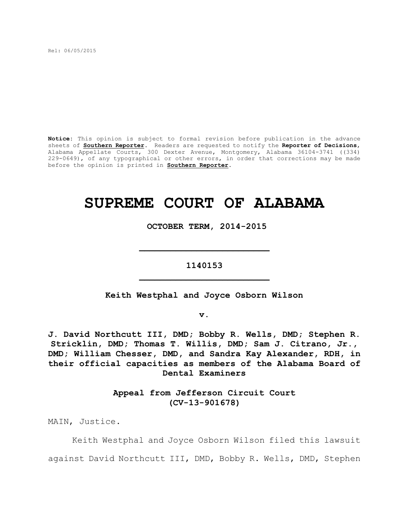Rel: 06/05/2015

**Notice:** This opinion is subject to formal revision before publication in the advance sheets of **Southern Reporter**. Readers are requested to notify the **Reporter of Decisions**, Alabama Appellate Courts, 300 Dexter Avenue, Montgomery, Alabama 36104-3741 ((334) 229-0649), of any typographical or other errors, in order that corrections may be made before the opinion is printed in **Southern Reporter**.

# **SUPREME COURT OF ALABAMA**

 **OCTOBER TERM, 2014-2015**

# **1140153 \_\_\_\_\_\_\_\_\_\_\_\_\_\_\_\_\_\_\_\_\_\_\_\_\_**

**\_\_\_\_\_\_\_\_\_\_\_\_\_\_\_\_\_\_\_\_\_\_\_\_\_**

**Keith Westphal and Joyce Osborn Wilson**

**v.**

**J. David Northcutt III, DMD; Bobby R. Wells, DMD; Stephen R. Stricklin, DMD; Thomas T. Willis, DMD; Sam J. Citrano, Jr., DMD; William Chesser, DMD, and Sandra Kay Alexander, RDH, in their official capacities as members of the Alabama Board of Dental Examiners**

> **Appeal from Jefferson Circuit Court (CV-13-901678)**

MAIN, Justice.

Keith Westphal and Joyce Osborn Wilson filed this lawsuit against David Northcutt III, DMD, Bobby R. Wells, DMD, Stephen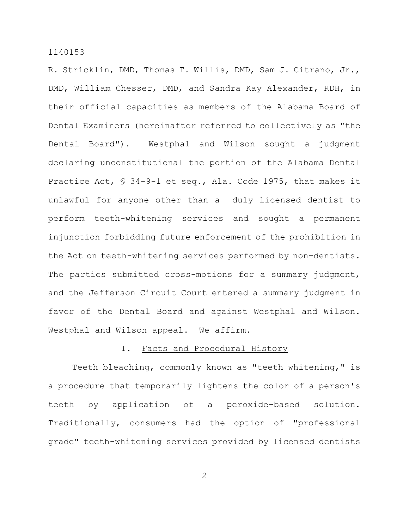R. Stricklin, DMD, Thomas T. Willis, DMD, Sam J. Citrano, Jr., DMD, William Chesser, DMD, and Sandra Kay Alexander, RDH, in their official capacities as members of the Alabama Board of Dental Examiners (hereinafter referred to collectively as "the Dental Board"). Westphal and Wilson sought a judgment declaring unconstitutional the portion of the Alabama Dental Practice Act, § 34-9-1 et seq., Ala. Code 1975, that makes it unlawful for anyone other than a duly licensed dentist to perform teeth-whitening services and sought a permanent injunction forbidding future enforcement of the prohibition in the Act on teeth-whitening services performed by non-dentists. The parties submitted cross-motions for a summary judgment, and the Jefferson Circuit Court entered a summary judgment in favor of the Dental Board and against Westphal and Wilson. Westphal and Wilson appeal. We affirm.

# I. Facts and Procedural History

Teeth bleaching, commonly known as "teeth whitening," is a procedure that temporarily lightens the color of a person's teeth by application of a peroxide-based solution. Traditionally, consumers had the option of "professional grade" teeth-whitening services provided by licensed dentists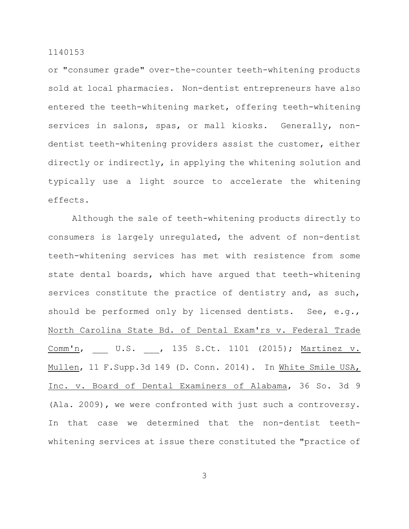or "consumer grade" over-the-counter teeth-whitening products sold at local pharmacies. Non-dentist entrepreneurs have also entered the teeth-whitening market, offering teeth-whitening services in salons, spas, or mall kiosks. Generally, nondentist teeth-whitening providers assist the customer, either directly or indirectly, in applying the whitening solution and typically use a light source to accelerate the whitening effects.

Although the sale of teeth-whitening products directly to consumers is largely unregulated, the advent of non-dentist teeth-whitening services has met with resistence from some state dental boards, which have argued that teeth-whitening services constitute the practice of dentistry and, as such, should be performed only by licensed dentists. See, e.g., North Carolina State Bd. of Dental Exam'rs v. Federal Trade Comm'n, U.S. , 135 S.Ct. 1101 (2015); Martinez v. Mullen, 11 F.Supp.3d 149 (D. Conn. 2014). In White Smile USA, Inc. v. Board of Dental Examiners of Alabama, 36 So. 3d 9 (Ala. 2009), we were confronted with just such a controversy. In that case we determined that the non-dentist teethwhitening services at issue there constituted the "practice of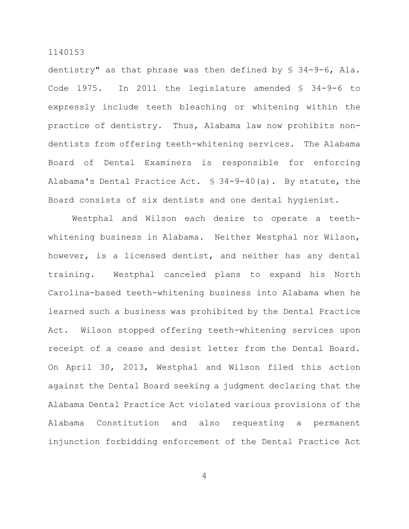dentistry" as that phrase was then defined by § 34-9-6, Ala. Code 1975. In 2011 the legislature amended § 34-9-6 to expressly include teeth bleaching or whitening within the practice of dentistry. Thus, Alabama law now prohibits nondentists from offering teeth-whitening services. The Alabama Board of Dental Examiners is responsible for enforcing Alabama's Dental Practice Act. § 34-9-40(a). By statute, the Board consists of six dentists and one dental hygienist.

Westphal and Wilson each desire to operate a teethwhitening business in Alabama. Neither Westphal nor Wilson, however, is a licensed dentist, and neither has any dental training. Westphal canceled plans to expand his North Carolina-based teeth-whitening business into Alabama when he learned such a business was prohibited by the Dental Practice Act. Wilson stopped offering teeth-whitening services upon receipt of a cease and desist letter from the Dental Board. On April 30, 2013, Westphal and Wilson filed this action against the Dental Board seeking a judgment declaring that the Alabama Dental Practice Act violated various provisions of the Alabama Constitution and also requesting a permanent injunction forbidding enforcement of the Dental Practice Act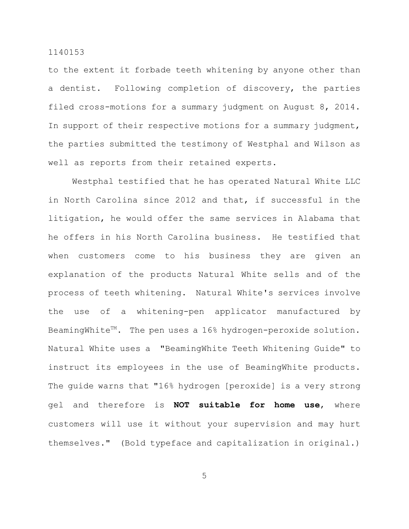to the extent it forbade teeth whitening by anyone other than a dentist. Following completion of discovery, the parties filed cross-motions for a summary judgment on August 8, 2014. In support of their respective motions for a summary judgment, the parties submitted the testimony of Westphal and Wilson as well as reports from their retained experts.

Westphal testified that he has operated Natural White LLC in North Carolina since 2012 and that, if successful in the litigation, he would offer the same services in Alabama that he offers in his North Carolina business. He testified that when customers come to his business they are given an explanation of the products Natural White sells and of the process of teeth whitening. Natural White's services involve the use of a whitening-pen applicator manufactured by BeamingWhite<sup> $M$ </sup>. The pen uses a 16% hydrogen-peroxide solution. Natural White uses a "BeamingWhite Teeth Whitening Guide" to instruct its employees in the use of BeamingWhite products. The guide warns that "16% hydrogen [peroxide] is a very strong gel and therefore is **NOT suitable for home use**, where customers will use it without your supervision and may hurt themselves." (Bold typeface and capitalization in original**.**)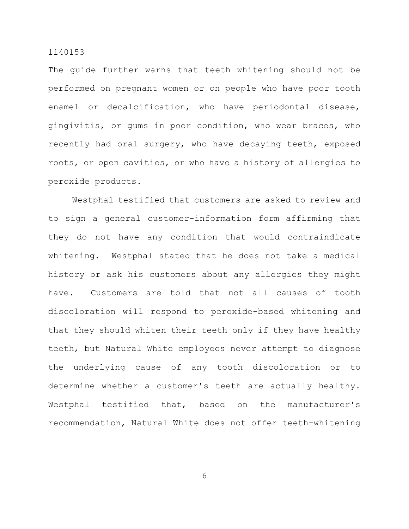The guide further warns that teeth whitening should not be performed on pregnant women or on people who have poor tooth enamel or decalcification, who have periodontal disease, gingivitis, or gums in poor condition, who wear braces, who recently had oral surgery, who have decaying teeth, exposed roots, or open cavities, or who have a history of allergies to peroxide products.

Westphal testified that customers are asked to review and to sign a general customer-information form affirming that they do not have any condition that would contraindicate whitening. Westphal stated that he does not take a medical history or ask his customers about any allergies they might have. Customers are told that not all causes of tooth discoloration will respond to peroxide-based whitening and that they should whiten their teeth only if they have healthy teeth, but Natural White employees never attempt to diagnose the underlying cause of any tooth discoloration or to determine whether a customer's teeth are actually healthy. Westphal testified that, based on the manufacturer's recommendation, Natural White does not offer teeth-whitening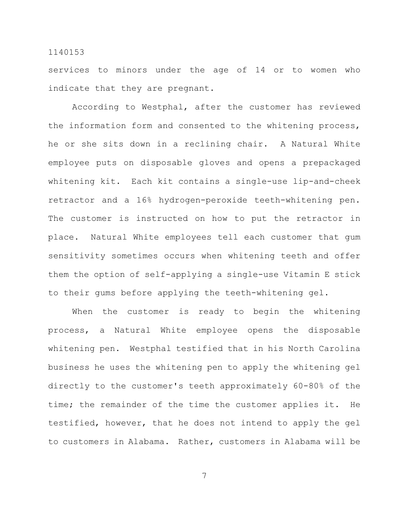services to minors under the age of 14 or to women who indicate that they are pregnant.

According to Westphal, after the customer has reviewed the information form and consented to the whitening process, he or she sits down in a reclining chair. A Natural White employee puts on disposable gloves and opens a prepackaged whitening kit. Each kit contains a single-use lip-and-cheek retractor and a 16% hydrogen-peroxide teeth-whitening pen. The customer is instructed on how to put the retractor in place. Natural White employees tell each customer that gum sensitivity sometimes occurs when whitening teeth and offer them the option of self-applying a single-use Vitamin E stick to their gums before applying the teeth-whitening gel.

When the customer is ready to begin the whitening process, a Natural White employee opens the disposable whitening pen. Westphal testified that in his North Carolina business he uses the whitening pen to apply the whitening gel directly to the customer's teeth approximately 60-80% of the time; the remainder of the time the customer applies it. He testified, however, that he does not intend to apply the gel to customers in Alabama. Rather, customers in Alabama will be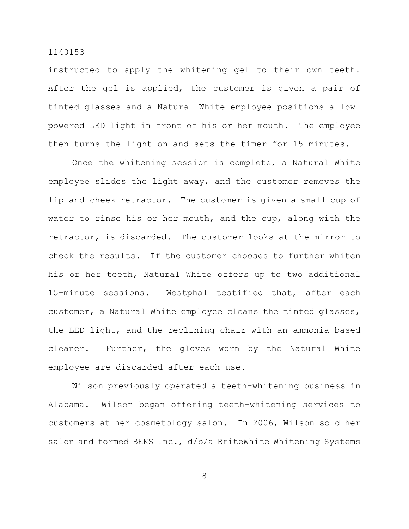instructed to apply the whitening gel to their own teeth. After the gel is applied, the customer is given a pair of tinted glasses and a Natural White employee positions a lowpowered LED light in front of his or her mouth. The employee then turns the light on and sets the timer for 15 minutes.

Once the whitening session is complete, a Natural White employee slides the light away, and the customer removes the lip-and-cheek retractor. The customer is given a small cup of water to rinse his or her mouth, and the cup, along with the retractor, is discarded. The customer looks at the mirror to check the results. If the customer chooses to further whiten his or her teeth, Natural White offers up to two additional 15-minute sessions. Westphal testified that, after each customer, a Natural White employee cleans the tinted glasses, the LED light, and the reclining chair with an ammonia-based cleaner. Further, the gloves worn by the Natural White employee are discarded after each use.

Wilson previously operated a teeth-whitening business in Alabama. Wilson began offering teeth-whitening services to customers at her cosmetology salon. In 2006, Wilson sold her salon and formed BEKS Inc., d/b/a BriteWhite Whitening Systems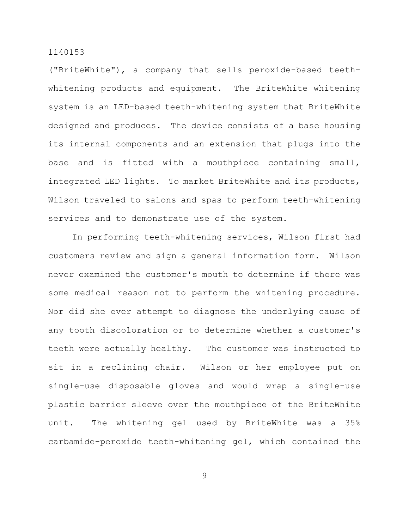("BriteWhite"), a company that sells peroxide-based teethwhitening products and equipment. The BriteWhite whitening system is an LED-based teeth-whitening system that BriteWhite designed and produces. The device consists of a base housing its internal components and an extension that plugs into the base and is fitted with a mouthpiece containing small, integrated LED lights. To market BriteWhite and its products, Wilson traveled to salons and spas to perform teeth-whitening services and to demonstrate use of the system.

In performing teeth-whitening services, Wilson first had customers review and sign a general information form. Wilson never examined the customer's mouth to determine if there was some medical reason not to perform the whitening procedure. Nor did she ever attempt to diagnose the underlying cause of any tooth discoloration or to determine whether a customer's teeth were actually healthy. The customer was instructed to sit in a reclining chair. Wilson or her employee put on single-use disposable gloves and would wrap a single-use plastic barrier sleeve over the mouthpiece of the BriteWhite unit. The whitening gel used by BriteWhite was a 35% carbamide-peroxide teeth-whitening gel, which contained the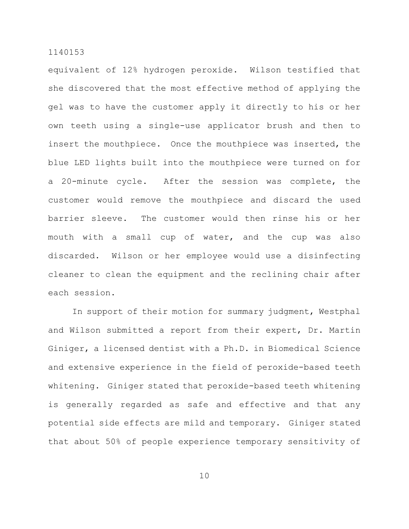equivalent of 12% hydrogen peroxide. Wilson testified that she discovered that the most effective method of applying the gel was to have the customer apply it directly to his or her own teeth using a single-use applicator brush and then to insert the mouthpiece. Once the mouthpiece was inserted, the blue LED lights built into the mouthpiece were turned on for a 20-minute cycle. After the session was complete, the customer would remove the mouthpiece and discard the used barrier sleeve. The customer would then rinse his or her mouth with a small cup of water, and the cup was also discarded. Wilson or her employee would use a disinfecting cleaner to clean the equipment and the reclining chair after each session.

In support of their motion for summary judgment, Westphal and Wilson submitted a report from their expert, Dr. Martin Giniger, a licensed dentist with a Ph.D. in Biomedical Science and extensive experience in the field of peroxide-based teeth whitening. Giniger stated that peroxide-based teeth whitening is generally regarded as safe and effective and that any potential side effects are mild and temporary. Giniger stated that about 50% of people experience temporary sensitivity of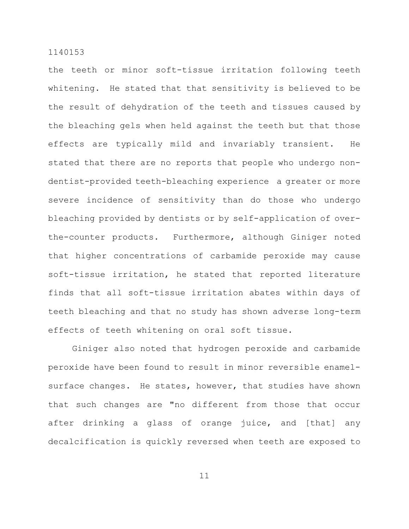the teeth or minor soft-tissue irritation following teeth whitening. He stated that that sensitivity is believed to be the result of dehydration of the teeth and tissues caused by the bleaching gels when held against the teeth but that those effects are typically mild and invariably transient. He stated that there are no reports that people who undergo nondentist-provided teeth-bleaching experience a greater or more severe incidence of sensitivity than do those who undergo bleaching provided by dentists or by self-application of overthe-counter products. Furthermore, although Giniger noted that higher concentrations of carbamide peroxide may cause soft-tissue irritation, he stated that reported literature finds that all soft-tissue irritation abates within days of teeth bleaching and that no study has shown adverse long-term effects of teeth whitening on oral soft tissue.

Giniger also noted that hydrogen peroxide and carbamide peroxide have been found to result in minor reversible enamelsurface changes. He states, however, that studies have shown that such changes are "no different from those that occur after drinking a glass of orange juice, and [that] any decalcification is quickly reversed when teeth are exposed to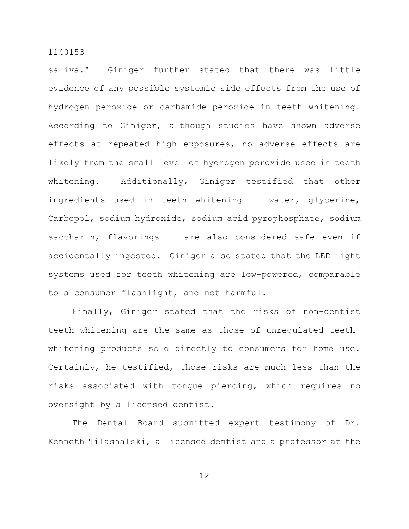saliva." Giniger further stated that there was little evidence of any possible systemic side effects from the use of hydrogen peroxide or carbamide peroxide in teeth whitening. According to Giniger, although studies have shown adverse effects at repeated high exposures, no adverse effects are likely from the small level of hydrogen peroxide used in teeth whitening. Additionally, Giniger testified that other ingredients used in teeth whitening -- water, glycerine, Carbopol, sodium hydroxide, sodium acid pyrophosphate, sodium saccharin, flavorings -- are also considered safe even if accidentally ingested. Giniger also stated that the LED light systems used for teeth whitening are low-powered, comparable to a consumer flashlight, and not harmful.

Finally, Giniger stated that the risks of non-dentist teeth whitening are the same as those of unregulated teethwhitening products sold directly to consumers for home use. Certainly, he testified, those risks are much less than the risks associated with tongue piercing, which requires no oversight by a licensed dentist.

The Dental Board submitted expert testimony of Dr. Kenneth Tilashalski, a licensed dentist and a professor at the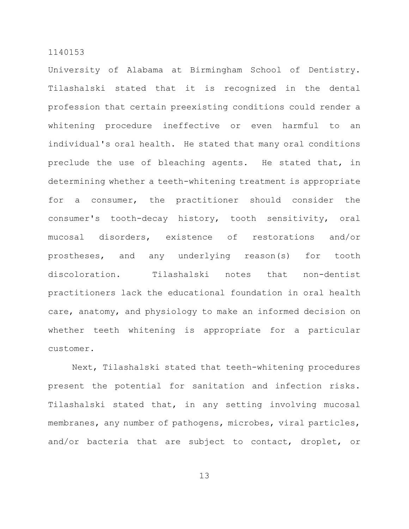University of Alabama at Birmingham School of Dentistry. Tilashalski stated that it is recognized in the dental profession that certain preexisting conditions could render a whitening procedure ineffective or even harmful to an individual's oral health. He stated that many oral conditions preclude the use of bleaching agents. He stated that, in determining whether a teeth-whitening treatment is appropriate for a consumer, the practitioner should consider the consumer's tooth-decay history, tooth sensitivity, oral mucosal disorders, existence of restorations and/or prostheses, and any underlying reason(s) for tooth discoloration. Tilashalski notes that non-dentist practitioners lack the educational foundation in oral health care, anatomy, and physiology to make an informed decision on whether teeth whitening is appropriate for a particular customer.

Next, Tilashalski stated that teeth-whitening procedures present the potential for sanitation and infection risks. Tilashalski stated that, in any setting involving mucosal membranes, any number of pathogens, microbes, viral particles, and/or bacteria that are subject to contact, droplet, or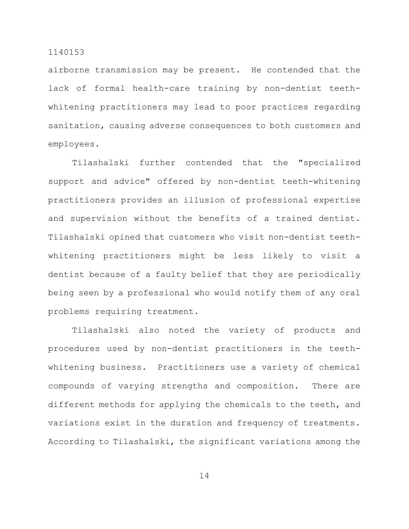airborne transmission may be present. He contended that the lack of formal health-care training by non-dentist teethwhitening practitioners may lead to poor practices regarding sanitation, causing adverse consequences to both customers and employees.

Tilashalski further contended that the "specialized support and advice" offered by non-dentist teeth-whitening practitioners provides an illusion of professional expertise and supervision without the benefits of a trained dentist. Tilashalski opined that customers who visit non-dentist teethwhitening practitioners might be less likely to visit a dentist because of a faulty belief that they are periodically being seen by a professional who would notify them of any oral problems requiring treatment.

Tilashalski also noted the variety of products and procedures used by non-dentist practitioners in the teethwhitening business. Practitioners use a variety of chemical compounds of varying strengths and composition. There are different methods for applying the chemicals to the teeth, and variations exist in the duration and frequency of treatments. According to Tilashalski, the significant variations among the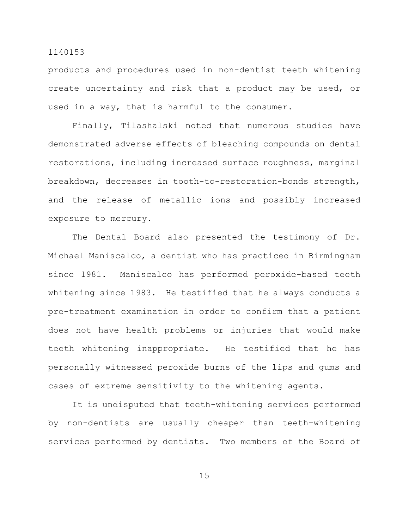products and procedures used in non-dentist teeth whitening create uncertainty and risk that a product may be used, or used in a way, that is harmful to the consumer.

Finally, Tilashalski noted that numerous studies have demonstrated adverse effects of bleaching compounds on dental restorations, including increased surface roughness, marginal breakdown, decreases in tooth-to-restoration-bonds strength, and the release of metallic ions and possibly increased exposure to mercury.

The Dental Board also presented the testimony of Dr. Michael Maniscalco, a dentist who has practiced in Birmingham since 1981. Maniscalco has performed peroxide-based teeth whitening since 1983. He testified that he always conducts a pre-treatment examination in order to confirm that a patient does not have health problems or injuries that would make teeth whitening inappropriate. He testified that he has personally witnessed peroxide burns of the lips and gums and cases of extreme sensitivity to the whitening agents.

It is undisputed that teeth-whitening services performed by non-dentists are usually cheaper than teeth-whitening services performed by dentists. Two members of the Board of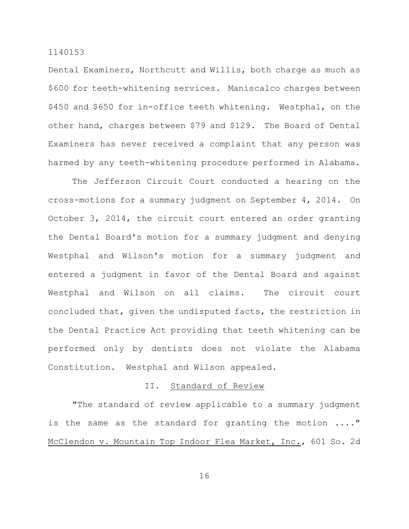Dental Examiners, Northcutt and Willis, both charge as much as \$600 for teeth-whitening services. Maniscalco charges between \$450 and \$650 for in-office teeth whitening. Westphal, on the other hand, charges between \$79 and \$129. The Board of Dental Examiners has never received a complaint that any person was harmed by any teeth-whitening procedure performed in Alabama.

The Jefferson Circuit Court conducted a hearing on the cross-motions for a summary judgment on September 4, 2014. On October 3, 2014, the circuit court entered an order granting the Dental Board's motion for a summary judgment and denying Westphal and Wilson's motion for a summary judgment and entered a judgment in favor of the Dental Board and against Westphal and Wilson on all claims. The circuit court concluded that, given the undisputed facts, the restriction in the Dental Practice Act providing that teeth whitening can be performed only by dentists does not violate the Alabama Constitution. Westphal and Wilson appealed.

# II. Standard of Review

"The standard of review applicable to a summary judgment is the same as the standard for granting the motion ...." McClendon v. Mountain Top Indoor Flea Market, Inc., 601 So. 2d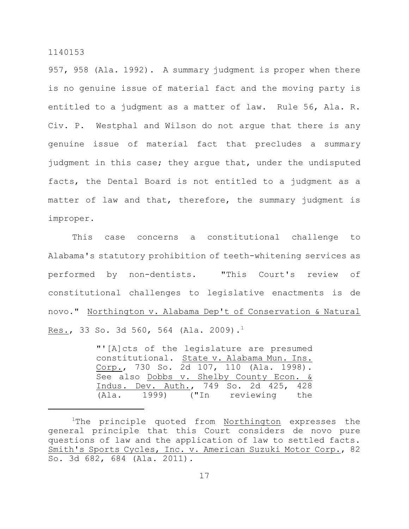957, 958 (Ala. 1992). A summary judgment is proper when there is no genuine issue of material fact and the moving party is entitled to a judgment as a matter of law. Rule 56, Ala. R. Civ. P. Westphal and Wilson do not argue that there is any genuine issue of material fact that precludes a summary judgment in this case; they argue that, under the undisputed facts, the Dental Board is not entitled to a judgment as a matter of law and that, therefore, the summary judgment is improper.

This case concerns a constitutional challenge to Alabama's statutory prohibition of teeth-whitening services as performed by non-dentists. "This Court's review of constitutional challenges to legislative enactments is de novo." Northington v. Alabama Dep't of Conservation & Natural Res., 33 So. 3d 560, 564 (Ala. 2009).<sup>1</sup>

> "'[A]cts of the legislature are presumed constitutional. State v. Alabama Mun. Ins. Corp., 730 So. 2d 107, 110 (Ala. 1998). See also Dobbs v. Shelby County Econ. & Indus. Dev. Auth., 749 So. 2d 425, 428 (Ala. 1999) ("In reviewing the

 $1$ The principle quoted from Northington expresses the general principle that this Court considers de novo pure questions of law and the application of law to settled facts. Smith's Sports Cycles, Inc. v. American Suzuki Motor Corp., 82 So. 3d 682, 684 (Ala. 2011).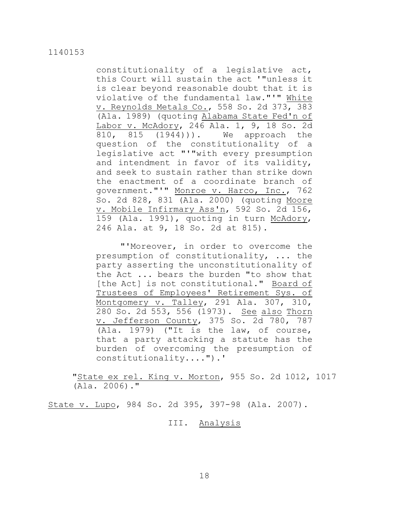constitutionality of a legislative act, this Court will sustain the act '"unless it is clear beyond reasonable doubt that it is violative of the fundamental law."'" White v. Reynolds Metals Co., 558 So. 2d 373, 383 (Ala. 1989) (quoting Alabama State Fed'n of Labor v. McAdory, 246 Ala. 1, 9, 18 So. 2d 810, 815 (1944))). We approach the question of the constitutionality of a legislative act "'"with every presumption and intendment in favor of its validity, and seek to sustain rather than strike down the enactment of a coordinate branch of government."'" Monroe v. Harco, Inc., 762 So. 2d 828, 831 (Ala. 2000) (quoting Moore v. Mobile Infirmary Ass'n, 592 So. 2d 156, 159 (Ala. 1991), quoting in turn McAdory, 246 Ala. at 9, 18 So. 2d at 815).

"'Moreover, in order to overcome the presumption of constitutionality, ... the party asserting the unconstitutionality of the Act ... bears the burden "to show that [the Act] is not constitutional." Board of Trustees of Employees' Retirement Sys. of Montgomery v. Talley, 291 Ala. 307, 310, 280 So. 2d 553, 556 (1973). See also Thorn v. Jefferson County, 375 So. 2d 780, 787 (Ala. 1979) ("It is the law, of course, that a party attacking a statute has the burden of overcoming the presumption of constitutionality....").'

"State ex rel. King v. Morton, 955 So. 2d 1012, 1017 (Ala. 2006)."

State v. Lupo, 984 So. 2d 395, 397-98 (Ala. 2007).

III. Analysis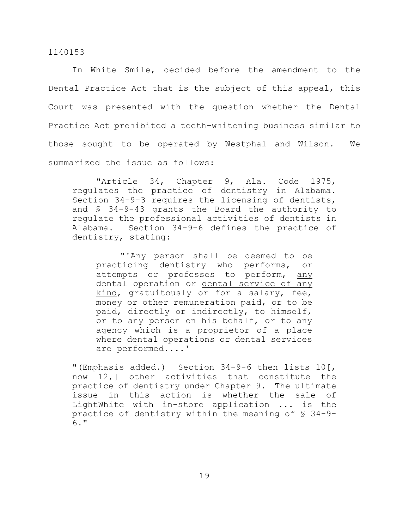In White Smile, decided before the amendment to the Dental Practice Act that is the subject of this appeal, this Court was presented with the question whether the Dental Practice Act prohibited a teeth-whitening business similar to those sought to be operated by Westphal and Wilson. We summarized the issue as follows:

"Article 34, Chapter 9, Ala. Code 1975, regulates the practice of dentistry in Alabama. Section 34-9-3 requires the licensing of dentists, and § 34-9-43 grants the Board the authority to regulate the professional activities of dentists in Alabama. Section 34-9-6 defines the practice of dentistry, stating:

"'Any person shall be deemed to be practicing dentistry who performs, or attempts or professes to perform, any dental operation or dental service of any kind, gratuitously or for a salary, fee, money or other remuneration paid, or to be paid, directly or indirectly, to himself, or to any person on his behalf, or to any agency which is a proprietor of a place where dental operations or dental services are performed....'

"(Emphasis added.) Section 34-9-6 then lists 10[, now 12,] other activities that constitute the practice of dentistry under Chapter 9. The ultimate issue in this action is whether the sale of LightWhite with in-store application ... is the practice of dentistry within the meaning of § 34-9- 6."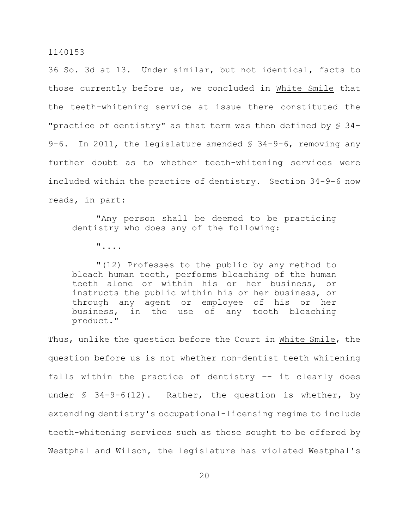36 So. 3d at 13. Under similar, but not identical, facts to those currently before us, we concluded in White Smile that the teeth-whitening service at issue there constituted the "practice of dentistry" as that term was then defined by § 34- 9-6. In 2011, the legislature amended § 34-9-6, removing any further doubt as to whether teeth-whitening services were included within the practice of dentistry. Section 34-9-6 now reads, in part:

"Any person shall be deemed to be practicing dentistry who does any of the following:

"....

"(12) Professes to the public by any method to bleach human teeth, performs bleaching of the human teeth alone or within his or her business, or instructs the public within his or her business, or through any agent or employee of his or her business, in the use of any tooth bleaching product."

Thus, unlike the question before the Court in White Smile, the question before us is not whether non-dentist teeth whitening falls within the practice of dentistry –- it clearly does under  $$34-9-6(12)$ . Rather, the question is whether, by extending dentistry's occupational-licensing regime to include teeth-whitening services such as those sought to be offered by Westphal and Wilson, the legislature has violated Westphal's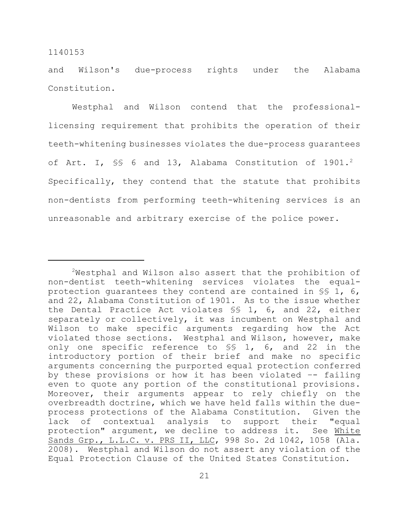and Wilson's due-process rights under the Alabama Constitution.

Westphal and Wilson contend that the professionallicensing requirement that prohibits the operation of their teeth-whitening businesses violates the due-process guarantees of Art. I, SS 6 and 13, Alabama Constitution of 1901.<sup>2</sup> Specifically, they contend that the statute that prohibits non-dentists from performing teeth-whitening services is an unreasonable and arbitrary exercise of the police power.

 $2$ Westphal and Wilson also assert that the prohibition of non-dentist teeth-whitening services violates the equalprotection guarantees they contend are contained in §§ 1, 6, and 22, Alabama Constitution of 1901. As to the issue whether the Dental Practice Act violates §§ 1, 6, and 22, either separately or collectively, it was incumbent on Westphal and Wilson to make specific arguments regarding how the Act violated those sections. Westphal and Wilson, however, make only one specific reference to §§ 1, 6, and 22 in the introductory portion of their brief and make no specific arguments concerning the purported equal protection conferred by these provisions or how it has been violated –- failing even to quote any portion of the constitutional provisions. Moreover, their arguments appear to rely chiefly on the overbreadth doctrine, which we have held falls within the dueprocess protections of the Alabama Constitution. Given the lack of contextual analysis to support their "equal protection" argument, we decline to address it. See White Sands Grp., L.L.C. v. PRS II, LLC, 998 So. 2d 1042, 1058 (Ala. 2008). Westphal and Wilson do not assert any violation of the Equal Protection Clause of the United States Constitution.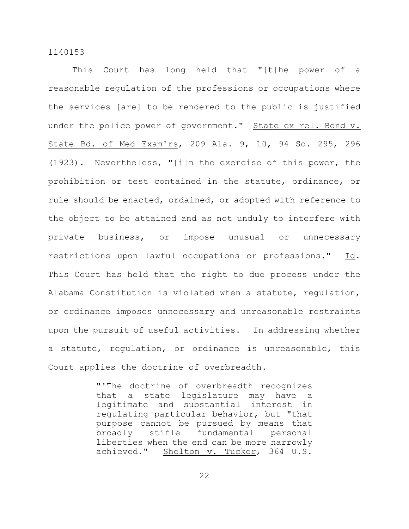This Court has long held that "[t]he power of a reasonable regulation of the professions or occupations where the services [are] to be rendered to the public is justified under the police power of government." State ex rel. Bond v. State Bd. of Med Exam'rs, 209 Ala. 9, 10, 94 So. 295, 296 (1923). Nevertheless, "[i]n the exercise of this power, the prohibition or test contained in the statute, ordinance, or rule should be enacted, ordained, or adopted with reference to the object to be attained and as not unduly to interfere with private business, or impose unusual or unnecessary restrictions upon lawful occupations or professions." Id. This Court has held that the right to due process under the Alabama Constitution is violated when a statute, regulation, or ordinance imposes unnecessary and unreasonable restraints upon the pursuit of useful activities. In addressing whether a statute, regulation, or ordinance is unreasonable, this Court applies the doctrine of overbreadth.

> "'The doctrine of overbreadth recognizes that a state legislature may have a legitimate and substantial interest in regulating particular behavior, but "that purpose cannot be pursued by means that broadly stifle fundamental personal liberties when the end can be more narrowly achieved." Shelton v. Tucker, 364 U.S.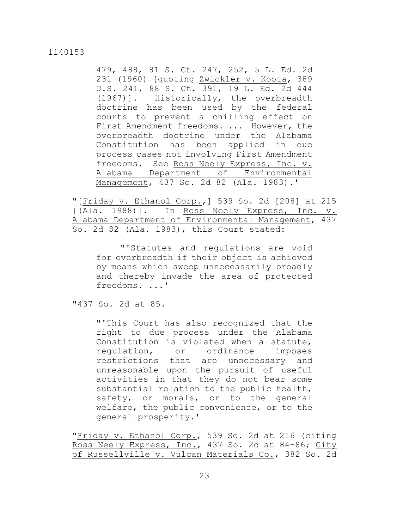479, 488, 81 S. Ct. 247, 252, 5 L. Ed. 2d 231 (1960) [quoting Zwickler v. Koota, 389 U.S. 241, 88 S. Ct. 391, 19 L. Ed. 2d 444 (1967)]. Historically, the overbreadth doctrine has been used by the federal courts to prevent a chilling effect on First Amendment freedoms. ... However, the overbreadth doctrine under the Alabama Constitution has been applied in due process cases not involving First Amendment freedoms. See Ross Neely Express, Inc. v. Alabama Department of Environmental Management, 437 So. 2d 82 (Ala. 1983).'

"[Friday v. Ethanol Corp.,] 539 So. 2d [208] at 215 [(Ala. 1988)]. In Ross Neely Express, Inc. v. Alabama Department of Environmental Management, 437 So. 2d 82 (Ala. 1983), this Court stated:

"'Statutes and regulations are void for overbreadth if their object is achieved by means which sweep unnecessarily broadly and thereby invade the area of protected freedoms. ...'

"437 So. 2d at 85.

"'This Court has also recognized that the right to due process under the Alabama Constitution is violated when a statute, regulation, or ordinance imposes restrictions that are unnecessary and unreasonable upon the pursuit of useful activities in that they do not bear some substantial relation to the public health, safety, or morals, or to the general welfare, the public convenience, or to the general prosperity.'

"Friday v. Ethanol Corp., 539 So. 2d at 216 (citing Ross Neely Express, Inc., 437 So. 2d at 84-86; City of Russellville v. Vulcan Materials Co., 382 So. 2d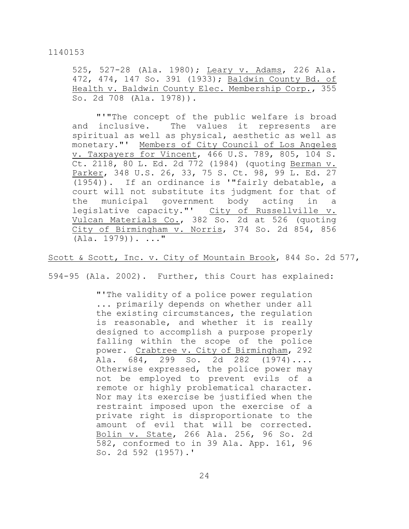525, 527-28 (Ala. 1980); Leary v. Adams, 226 Ala. 472, 474, 147 So. 391 (1933); Baldwin County Bd. of Health v. Baldwin County Elec. Membership Corp., 355 So. 2d 708 (Ala. 1978)).

"'"The concept of the public welfare is broad and inclusive. The values it represents are spiritual as well as physical, aesthetic as well as monetary."' Members of City Council of Los Angeles v. Taxpayers for Vincent, 466 U.S. 789, 805, 104 S. Ct. 2118, 80 L. Ed. 2d 772 (1984) (quoting Berman v. Parker, 348 U.S. 26, 33, 75 S. Ct. 98, 99 L. Ed. 27 (1954)). If an ordinance is '"fairly debatable, a court will not substitute its judgment for that of the municipal government body acting in a legislative capacity."' City of Russellville v. Vulcan Materials Co., 382 So. 2d at 526 (quoting City of Birmingham v. Norris, 374 So. 2d 854, 856  $(Ala. 1979)$ ). ..."

Scott & Scott, Inc. v. City of Mountain Brook, 844 So. 2d 577,

594-95 (Ala. 2002). Further, this Court has explained:

"'The validity of a police power regulation ... primarily depends on whether under all the existing circumstances, the regulation is reasonable, and whether it is really designed to accomplish a purpose properly falling within the scope of the police power. Crabtree v. City of Birmingham, 292 Ala. 684, 299 So. 2d 282 (1974).... Otherwise expressed, the police power may not be employed to prevent evils of a remote or highly problematical character. Nor may its exercise be justified when the restraint imposed upon the exercise of a private right is disproportionate to the amount of evil that will be corrected. Bolin v. State, 266 Ala. 256, 96 So. 2d 582, conformed to in 39 Ala. App. 161, 96 So. 2d 592 (1957).'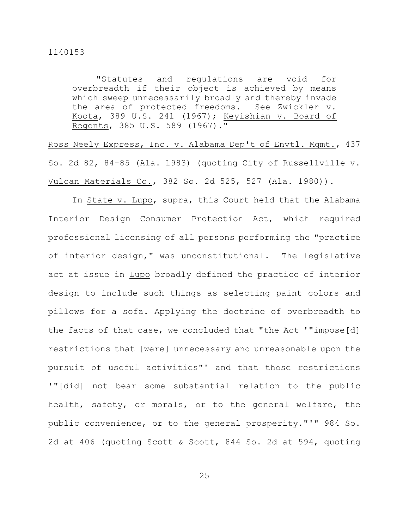"Statutes and regulations are void for overbreadth if their object is achieved by means which sweep unnecessarily broadly and thereby invade the area of protected freedoms. See Zwickler v. Koota, 389 U.S. 241 (1967); Keyishian v. Board of Regents, 385 U.S. 589 (1967)."

Ross Neely Express, Inc. v. Alabama Dep't of Envtl. Mgmt., 437 So. 2d 82, 84-85 (Ala. 1983) (quoting City of Russellville v. Vulcan Materials Co., 382 So. 2d 525, 527 (Ala. 1980)).

In State v. Lupo, supra, this Court held that the Alabama Interior Design Consumer Protection Act, which required professional licensing of all persons performing the "practice of interior design," was unconstitutional. The legislative act at issue in Lupo broadly defined the practice of interior design to include such things as selecting paint colors and pillows for a sofa. Applying the doctrine of overbreadth to the facts of that case, we concluded that "the Act '"impose[d] restrictions that [were] unnecessary and unreasonable upon the pursuit of useful activities"' and that those restrictions '"[did] not bear some substantial relation to the public health, safety, or morals, or to the general welfare, the public convenience, or to the general prosperity."'" 984 So. 2d at 406 (quoting Scott & Scott, 844 So. 2d at 594, quoting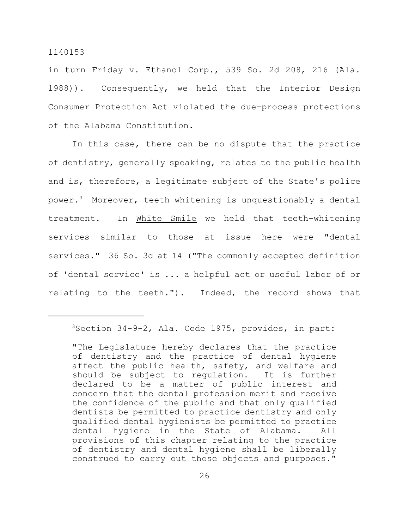in turn Friday v. Ethanol Corp., 539 So. 2d 208, 216 (Ala. 1988)). Consequently, we held that the Interior Design Consumer Protection Act violated the due-process protections of the Alabama Constitution.

In this case, there can be no dispute that the practice of dentistry, generally speaking, relates to the public health and is, therefore, a legitimate subject of the State's police power. $^3$  Moreover, teeth whitening is unquestionably a dental treatment. In White Smile we held that teeth-whitening services similar to those at issue here were "dental services." 36 So. 3d at 14 ("The commonly accepted definition of 'dental service' is ... a helpful act or useful labor of or relating to the teeth."). Indeed, the record shows that

 $3$ Section 34-9-2, Ala. Code 1975, provides, in part:

<sup>&</sup>quot;The Legislature hereby declares that the practice of dentistry and the practice of dental hygiene affect the public health, safety, and welfare and should be subject to regulation. It is further declared to be a matter of public interest and concern that the dental profession merit and receive the confidence of the public and that only qualified dentists be permitted to practice dentistry and only qualified dental hygienists be permitted to practice dental hygiene in the State of Alabama. All provisions of this chapter relating to the practice of dentistry and dental hygiene shall be liberally construed to carry out these objects and purposes."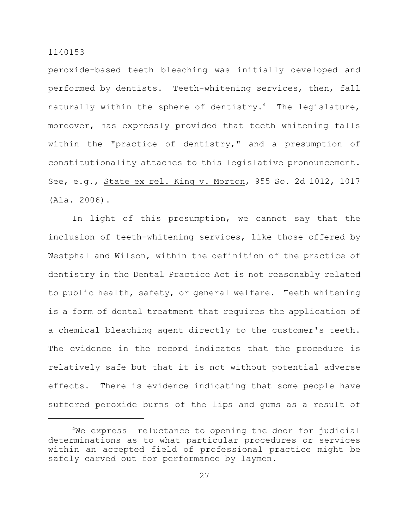peroxide-based teeth bleaching was initially developed and performed by dentists. Teeth-whitening services, then, fall naturally within the sphere of dentistry.<sup>4</sup> The legislature, moreover, has expressly provided that teeth whitening falls within the "practice of dentistry," and a presumption of constitutionality attaches to this legislative pronouncement. See, e.g., State ex rel. King v. Morton, 955 So. 2d 1012, 1017 (Ala. 2006).

In light of this presumption, we cannot say that the inclusion of teeth-whitening services, like those offered by Westphal and Wilson, within the definition of the practice of dentistry in the Dental Practice Act is not reasonably related to public health, safety, or general welfare. Teeth whitening is a form of dental treatment that requires the application of a chemical bleaching agent directly to the customer's teeth. The evidence in the record indicates that the procedure is relatively safe but that it is not without potential adverse effects. There is evidence indicating that some people have suffered peroxide burns of the lips and gums as a result of

 $4$ We express reluctance to opening the door for judicial determinations as to what particular procedures or services within an accepted field of professional practice might be safely carved out for performance by laymen.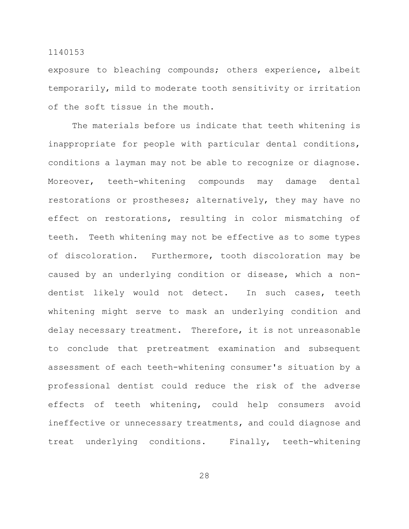exposure to bleaching compounds; others experience, albeit temporarily, mild to moderate tooth sensitivity or irritation of the soft tissue in the mouth.

The materials before us indicate that teeth whitening is inappropriate for people with particular dental conditions, conditions a layman may not be able to recognize or diagnose. Moreover, teeth-whitening compounds may damage dental restorations or prostheses; alternatively, they may have no effect on restorations, resulting in color mismatching of teeth. Teeth whitening may not be effective as to some types of discoloration. Furthermore, tooth discoloration may be caused by an underlying condition or disease, which a nondentist likely would not detect. In such cases, teeth whitening might serve to mask an underlying condition and delay necessary treatment. Therefore, it is not unreasonable to conclude that pretreatment examination and subsequent assessment of each teeth-whitening consumer's situation by a professional dentist could reduce the risk of the adverse effects of teeth whitening, could help consumers avoid ineffective or unnecessary treatments, and could diagnose and treat underlying conditions. Finally, teeth-whitening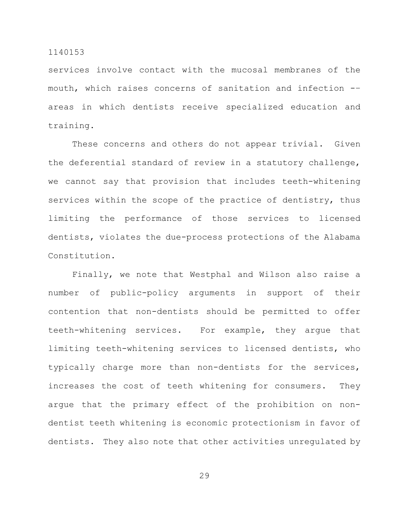services involve contact with the mucosal membranes of the mouth, which raises concerns of sanitation and infection -– areas in which dentists receive specialized education and training.

These concerns and others do not appear trivial. Given the deferential standard of review in a statutory challenge, we cannot say that provision that includes teeth-whitening services within the scope of the practice of dentistry, thus limiting the performance of those services to licensed dentists, violates the due-process protections of the Alabama Constitution.

Finally, we note that Westphal and Wilson also raise a number of public-policy arguments in support of their contention that non-dentists should be permitted to offer teeth-whitening services. For example, they argue that limiting teeth-whitening services to licensed dentists, who typically charge more than non-dentists for the services, increases the cost of teeth whitening for consumers. They argue that the primary effect of the prohibition on nondentist teeth whitening is economic protectionism in favor of dentists. They also note that other activities unregulated by